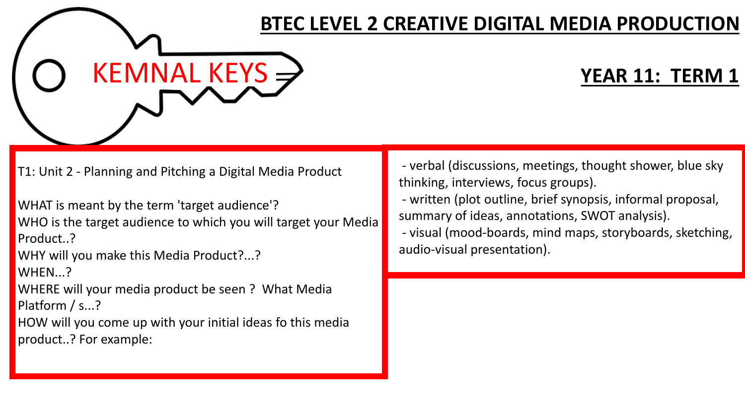## $KEMNAL KEYS \rightarrow$

T1: Unit 2 - Planning and Pitching a Digital Media Product

WHAT is meant by the term 'target audience'?

WHO is the target audience to which you will target your Media Product..?

WHY will you make this Media Product?...?

WHEN...?

WHERE will your media product be seen ? What Media Platform / s...?

HOW will you come up with your initial ideas fo this media product..? For example:

- verbal (discussions, meetings, thought shower, blue sky thinking, interviews, focus groups).

**BTEC LEVEL 2 CREATIVE DIGITAL MEDIA PRODUCTION**

- written (plot outline, brief synopsis, informal proposal, summary of ideas, annotations, SWOT analysis).

- visual (mood-boards, mind maps, storyboards, sketching, audio-visual presentation).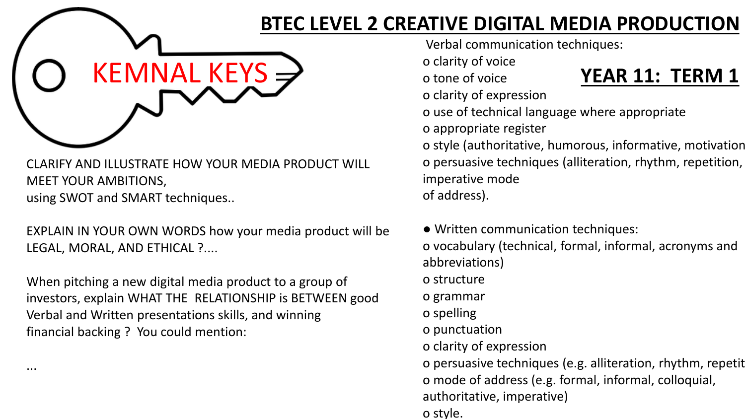

CLARIFY AND ILLUSTRATE HOW YOUR MEDIA PRODUCT WILL MEET YOUR AMBITIONS, using SWOT and SMART techniques..

EXPLAIN IN YOUR OWN WORDS how your media product will be LEGAL, MORAL, AND ETHICAL ?....

When pitching a new digital media product to a group of investors, explain WHAT THE RELATIONSHIP is BETWEEN good Verbal and Written presentations skills, and winning financial backing ? You could mention:

...

**BTEC LEVEL 2 CREATIVE DIGITAL MEDIA PRODUCTION**

Verbal communication techniques:

o clarity of voice

o tone of voice

o clarity of expression

- o use of technical language where appropriate
- o appropriate register

o style (authoritative, humorous, informative, motivational) o persuasive techniques (alliteration, rhythm, repetition, imperative mode of address).

● Written communication techniques: o vocabulary (technical, formal, informal, acronyms and abbreviations) o structure o grammar o spelling o punctuation o clarity of expression o persuasive techniques (e.g. alliteration, rhythm, repetit o mode of address (e.g. formal, informal, colloquial, authoritative, imperative) o style.